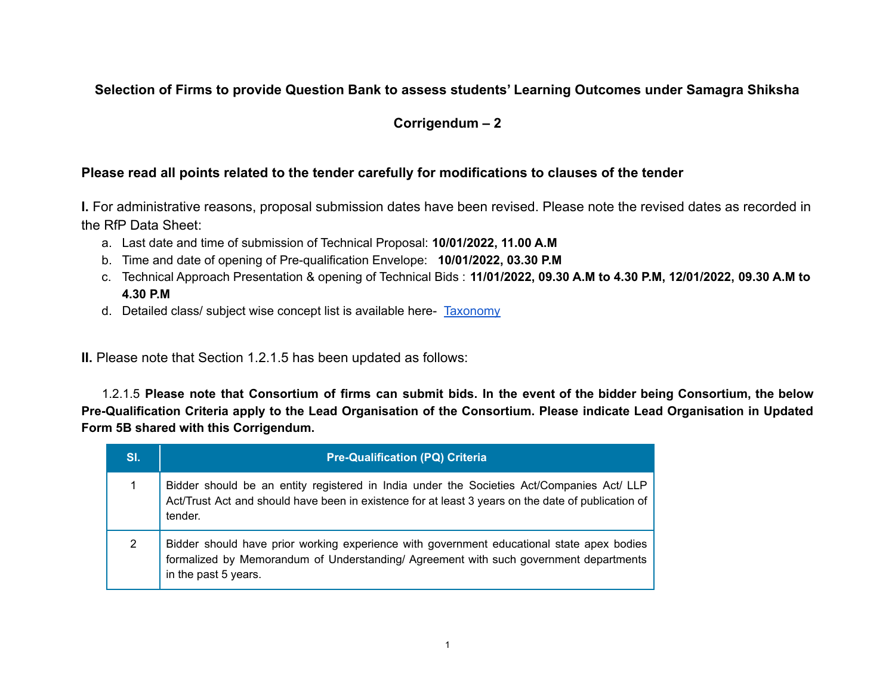### **Selection of Firms to provide Question Bank to assess students' Learning Outcomes under Samagra Shiksha**

### **Corrigendum – 2**

#### **Please read all points related to the tender carefully for modifications to clauses of the tender**

**I.** For administrative reasons, proposal submission dates have been revised. Please note the revised dates as recorded in the RfP Data Sheet:

- a. Last date and time of submission of Technical Proposal: **10/01/2022, 11.00 A.M**
- b. Time and date of opening of Pre-qualification Envelope: **10/01/2022, 03.30 P.M**
- c. Technical Approach Presentation & opening of Technical Bids : **11/01/2022, 09.30 A.M to 4.30 P.M, 12/01/2022, 09.30 A.M to 4.30 P.M**
- d. Detailed class/ subject wise concept list is available here- [Taxonomy](https://docs.google.com/spreadsheets/d/1wU8vevEDaB7s5egj5cX_V1KZmvxOF_fy/edit?usp=sharing&ouid=106854993449437706196&rtpof=true&sd=true)

**II.** Please note that Section 1.2.1.5 has been updated as follows:

1.2.1.5 Please note that Consortium of firms can submit bids. In the event of the bidder being Consortium, the below Pre-Qualification Criteria apply to the Lead Organisation of the Consortium. Please indicate Lead Organisation in Updated **Form 5B shared with this Corrigendum.**

| SI. | <b>Pre-Qualification (PQ) Criteria</b>                                                                                                                                                                     |
|-----|------------------------------------------------------------------------------------------------------------------------------------------------------------------------------------------------------------|
|     | Bidder should be an entity registered in India under the Societies Act/Companies Act/ LLP<br>Act/Trust Act and should have been in existence for at least 3 years on the date of publication of<br>tender. |
| 2   | Bidder should have prior working experience with government educational state apex bodies<br>formalized by Memorandum of Understanding/ Agreement with such government departments<br>in the past 5 years. |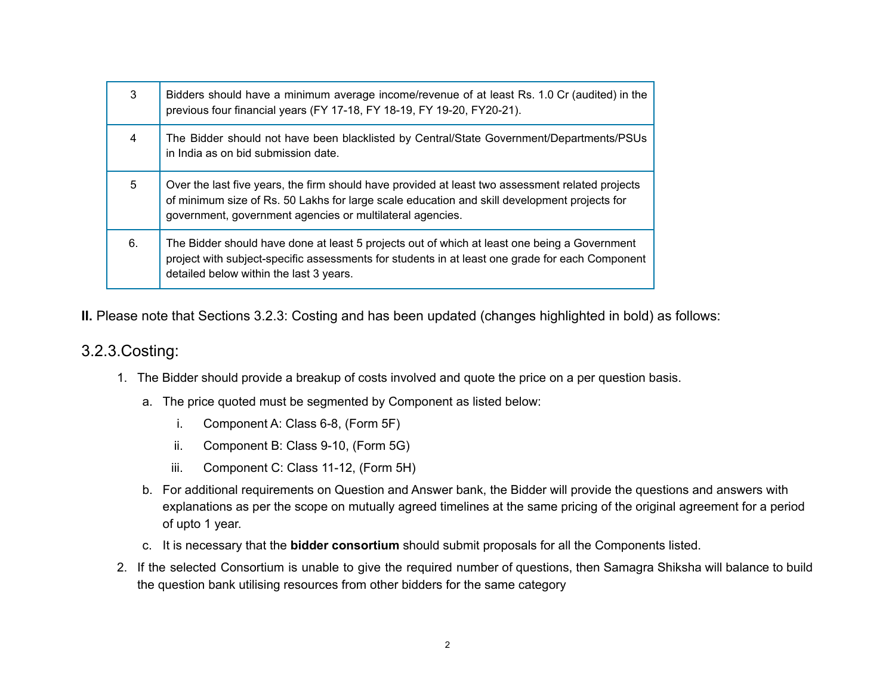| 3  | Bidders should have a minimum average income/revenue of at least Rs. 1.0 Cr (audited) in the<br>previous four financial years (FY 17-18, FY 18-19, FY 19-20, FY20-21).                                                                                        |
|----|---------------------------------------------------------------------------------------------------------------------------------------------------------------------------------------------------------------------------------------------------------------|
| 4  | The Bidder should not have been blacklisted by Central/State Government/Departments/PSUs<br>in India as on bid submission date.                                                                                                                               |
| 5  | Over the last five years, the firm should have provided at least two assessment related projects<br>of minimum size of Rs. 50 Lakhs for large scale education and skill development projects for<br>government, government agencies or multilateral agencies. |
| 6. | The Bidder should have done at least 5 projects out of which at least one being a Government<br>project with subject-specific assessments for students in at least one grade for each Component<br>detailed below within the last 3 years.                    |

**II.** Please note that Sections 3.2.3: Costing and has been updated (changes highlighted in bold) as follows:

# 3.2.3.Costing:

- 1. The Bidder should provide a breakup of costs involved and quote the price on a per question basis.
	- a. The price quoted must be segmented by Component as listed below:
		- i. Component A: Class 6-8, (Form 5F)
		- ii. Component B: Class 9-10, (Form 5G)
		- iii. Component C: Class 11-12, (Form 5H)
	- b. For additional requirements on Question and Answer bank, the Bidder will provide the questions and answers with explanations as per the scope on mutually agreed timelines at the same pricing of the original agreement for a period of upto 1 year.
	- c. It is necessary that the **bidder consortium** should submit proposals for all the Components listed.
- 2. If the selected Consortium is unable to give the required number of questions, then Samagra Shiksha will balance to build the question bank utilising resources from other bidders for the same category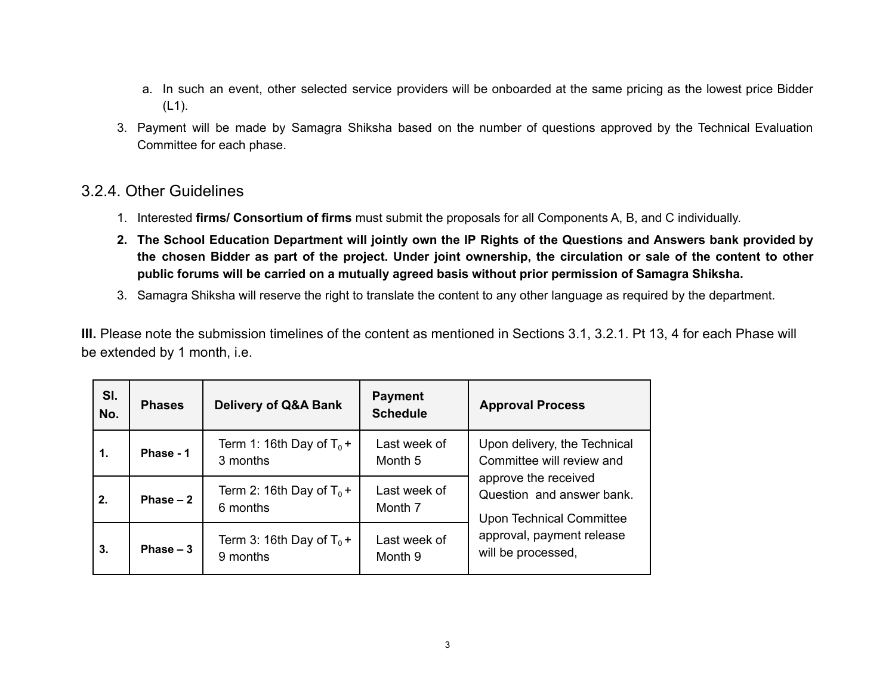- a. In such an event, other selected service providers will be onboarded at the same pricing as the lowest price Bidder (L1).
- 3. Payment will be made by Samagra Shiksha based on the number of questions approved by the Technical Evaluation Committee for each phase.

## 3.2.4. Other Guidelines

- 1. Interested **firms/ Consortium of firms** must submit the proposals for all Components A, B, and C individually.
- 2. The School Education Department will jointly own the IP Rights of the Questions and Answers bank provided by the chosen Bidder as part of the project. Under joint ownership, the circulation or sale of the content to other **public forums will be carried on a mutually agreed basis without prior permission of Samagra Shiksha.**
- 3. Samagra Shiksha will reserve the right to translate the content to any other language as required by the department.

**III.** Please note the submission timelines of the content as mentioned in Sections 3.1, 3.2.1. Pt 13, 4 for each Phase will be extended by 1 month, i.e.

| SI.<br>No. | <b>Phases</b> | <b>Delivery of Q&amp;A Bank</b>         | <b>Payment</b><br><b>Schedule</b> | <b>Approval Process</b>                                                                                                                                                                              |
|------------|---------------|-----------------------------------------|-----------------------------------|------------------------------------------------------------------------------------------------------------------------------------------------------------------------------------------------------|
| 1.         | Phase - 1     | Term 1: 16th Day of $T_0$ +<br>3 months | Last week of<br>Month 5           | Upon delivery, the Technical<br>Committee will review and<br>approve the received<br>Question and answer bank.<br><b>Upon Technical Committee</b><br>approval, payment release<br>will be processed, |
| 2.         | Phase $-2$    | Term 2: 16th Day of $T_0$ +<br>6 months | Last week of<br>Month 7           |                                                                                                                                                                                                      |
| 3.         | Phase $-3$    | Term 3: 16th Day of $T_0$ +<br>9 months | Last week of<br>Month 9           |                                                                                                                                                                                                      |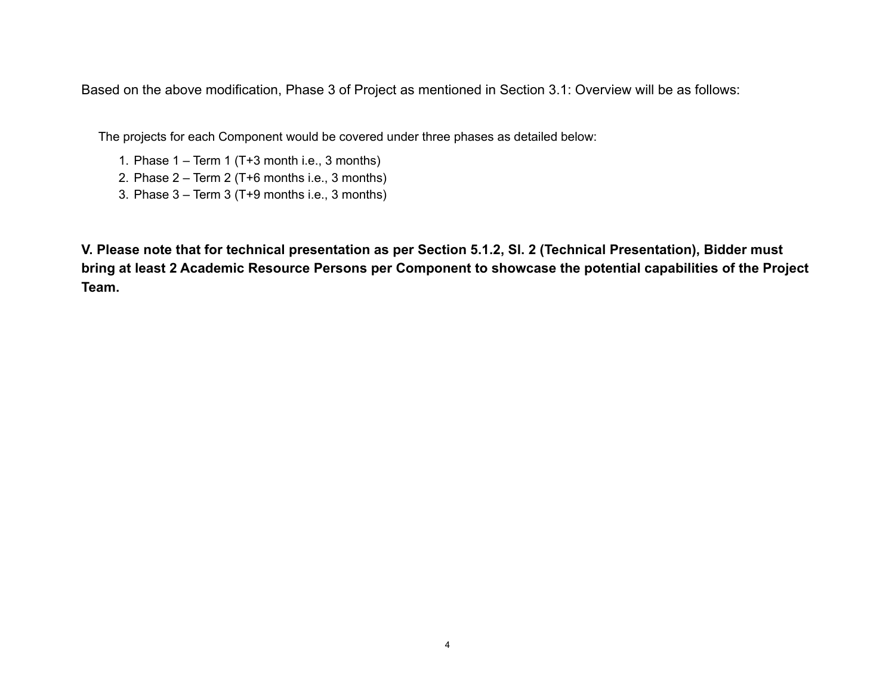Based on the above modification, Phase 3 of Project as mentioned in Section 3.1: Overview will be as follows:

The projects for each Component would be covered under three phases as detailed below:

- 1. Phase  $1 Term 1$  (T+3 month i.e., 3 months)
- 2. Phase 2 Term 2 (T+6 months i.e., 3 months)
- 3. Phase 3 Term 3 (T+9 months i.e., 3 months)

**V. Please note that for technical presentation as per Section 5.1.2, Sl. 2 (Technical Presentation), Bidder must bring at least 2 Academic Resource Persons per Component to showcase the potential capabilities of the Project Team.**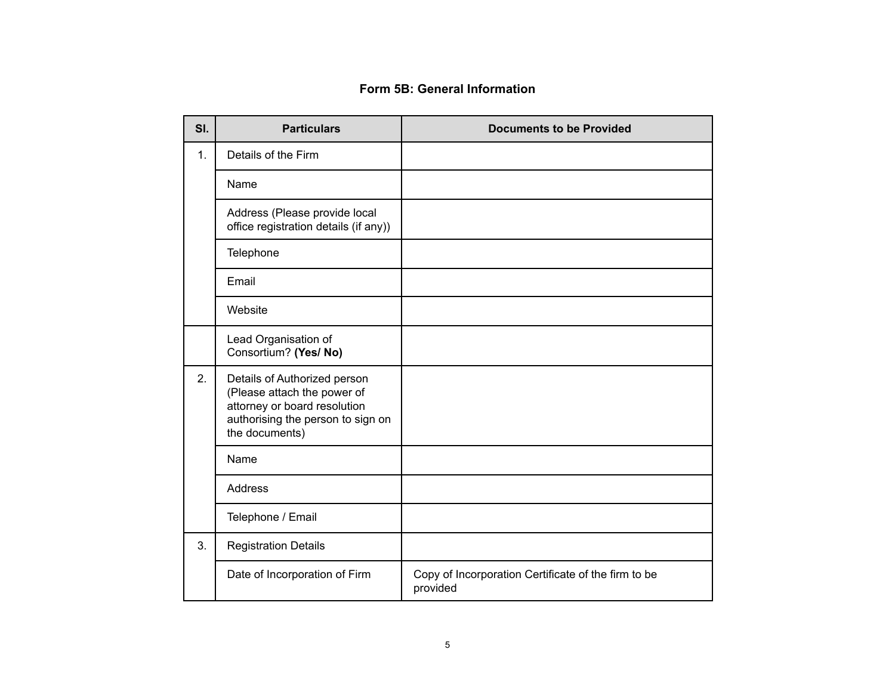### **Form 5B: General Information**

| SI. | <b>Particulars</b>                                                                                                                                 | <b>Documents to be Provided</b>                                 |
|-----|----------------------------------------------------------------------------------------------------------------------------------------------------|-----------------------------------------------------------------|
| 1.  | Details of the Firm                                                                                                                                |                                                                 |
|     | Name                                                                                                                                               |                                                                 |
|     | Address (Please provide local<br>office registration details (if any))                                                                             |                                                                 |
|     | Telephone                                                                                                                                          |                                                                 |
|     | Email                                                                                                                                              |                                                                 |
|     | Website                                                                                                                                            |                                                                 |
|     | Lead Organisation of<br>Consortium? (Yes/ No)                                                                                                      |                                                                 |
| 2.  | Details of Authorized person<br>(Please attach the power of<br>attorney or board resolution<br>authorising the person to sign on<br>the documents) |                                                                 |
|     | Name                                                                                                                                               |                                                                 |
|     | <b>Address</b>                                                                                                                                     |                                                                 |
|     | Telephone / Email                                                                                                                                  |                                                                 |
| 3.  | <b>Registration Details</b>                                                                                                                        |                                                                 |
|     | Date of Incorporation of Firm                                                                                                                      | Copy of Incorporation Certificate of the firm to be<br>provided |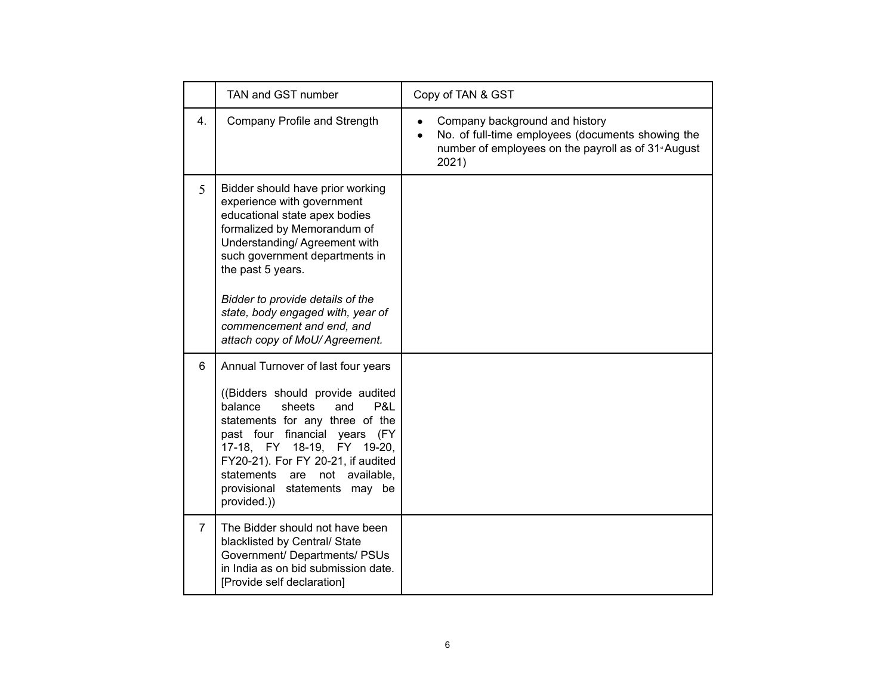|                | TAN and GST number                                                                                                                                                                                                                                                                                                                                            | Copy of TAN & GST                                                                                                                                               |
|----------------|---------------------------------------------------------------------------------------------------------------------------------------------------------------------------------------------------------------------------------------------------------------------------------------------------------------------------------------------------------------|-----------------------------------------------------------------------------------------------------------------------------------------------------------------|
| 4 <sup>1</sup> | Company Profile and Strength                                                                                                                                                                                                                                                                                                                                  | Company background and history<br>No. of full-time employees (documents showing the<br>number of employees on the payroll as of 31 <sup>*</sup> August<br>2021) |
| 5              | Bidder should have prior working<br>experience with government<br>educational state apex bodies<br>formalized by Memorandum of<br>Understanding/Agreement with<br>such government departments in<br>the past 5 years.<br>Bidder to provide details of the<br>state, body engaged with, year of<br>commencement and end, and<br>attach copy of MoU/ Agreement. |                                                                                                                                                                 |
| 6              | Annual Turnover of last four years<br>((Bidders should provide audited<br>sheets<br>balance<br>and<br>P&L<br>statements for any three of the<br>past four financial years (FY<br>17-18, FY 18-19, FY 19-20,<br>FY20-21). For FY 20-21, if audited<br>statements<br>are not available,<br>provisional<br>statements may be<br>provided.))                      |                                                                                                                                                                 |
| $\overline{7}$ | The Bidder should not have been<br>blacklisted by Central/ State<br>Government/ Departments/ PSUs<br>in India as on bid submission date.<br>[Provide self declaration]                                                                                                                                                                                        |                                                                                                                                                                 |